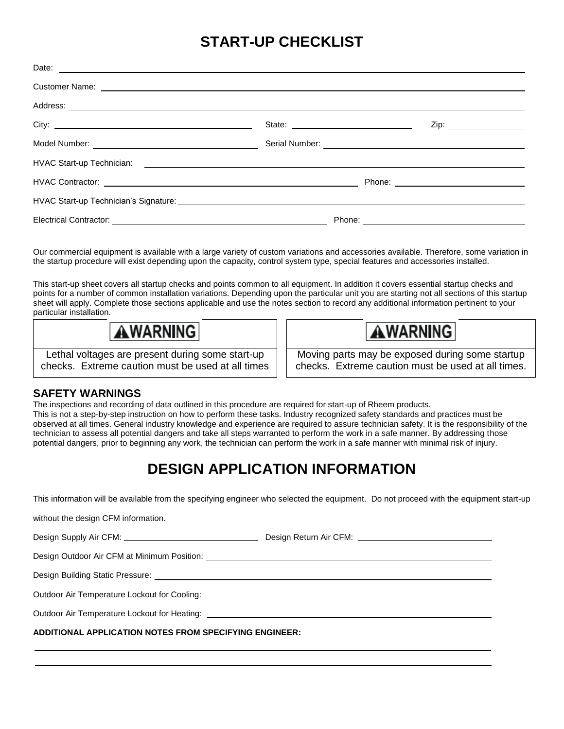# **START-UP CHECKLIST**

| City: $\qquad \qquad$ |                                      | Zip: ____________________ |
|-----------------------|--------------------------------------|---------------------------|
|                       | Serial Number: <u>Communications</u> |                           |
|                       |                                      |                           |
|                       |                                      |                           |
|                       |                                      |                           |
|                       |                                      |                           |

Our commercial equipment is available with a large variety of custom variations and accessories available. Therefore, some variation in the startup procedure will exist depending upon the capacity, control system type, special features and accessories installed.

This start-up sheet covers all startup checks and points common to all equipment. In addition it covers essential startup checks and points for a number of common installation variations. Depending upon the particular unit you are starting not all sections of this startup sheet will apply. Complete those sections applicable and use the notes section to record any additional information pertinent to your particular installation.

AWARNINGI

Lethal voltages are present during some start-up checks. Extreme caution must be used at all times AWARNING

Moving parts may be exposed during some startup checks. Extreme caution must be used at all times.

#### **SAFETY WARNINGS**

The inspections and recording of data outlined in this procedure are required for start-up of Rheem products. This is not a step-by-step instruction on how to perform these tasks. Industry recognized safety standards and practices must be observed at all times. General industry knowledge and experience are required to assure technician safety. It is the responsibility of the technician to assess all potential dangers and take all steps warranted to perform the work in a safe manner. By addressing those potential dangers, prior to beginning any work, the technician can perform the work in a safe manner with minimal risk of injury.

# **DESIGN APPLICATION INFORMATION**

This information will be available from the specifying engineer who selected the equipment. Do not proceed with the equipment start-up

without the design CFM information.

Design Supply Air CFM: Design Return Air CFM: Design Outdoor Air CFM at Minimum Position: Design Building Static Pressure: Outdoor Air Temperature Lockout for Cooling: \_\_\_\_\_\_\_\_\_\_\_\_\_\_\_\_\_\_\_\_\_\_\_\_\_\_\_\_\_\_\_\_\_\_\_ Outdoor Air Temperature Lockout for Heating: **ADDITIONAL APPLICATION NOTES FROM SPECIFYING ENGINEER:**  $\overline{a}$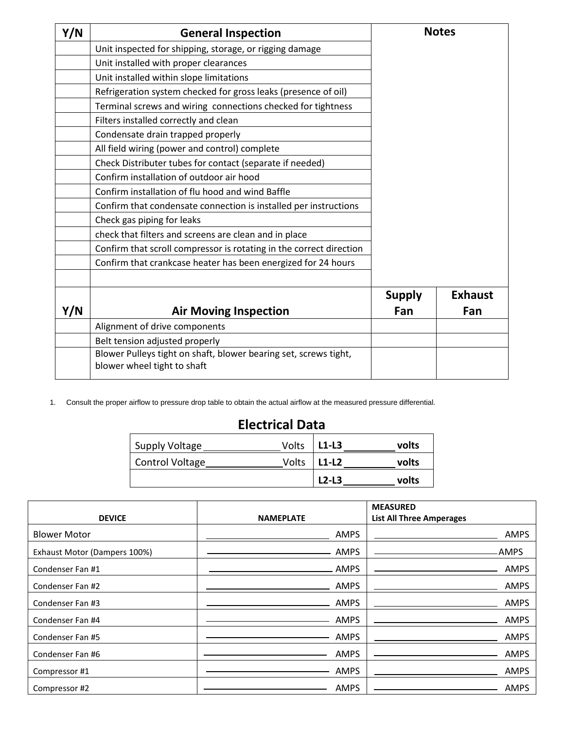| Y/N | <b>General Inspection</b>                                           |               | <b>Notes</b>   |
|-----|---------------------------------------------------------------------|---------------|----------------|
|     | Unit inspected for shipping, storage, or rigging damage             |               |                |
|     | Unit installed with proper clearances                               |               |                |
|     | Unit installed within slope limitations                             |               |                |
|     | Refrigeration system checked for gross leaks (presence of oil)      |               |                |
|     | Terminal screws and wiring connections checked for tightness        |               |                |
|     | Filters installed correctly and clean                               |               |                |
|     | Condensate drain trapped properly                                   |               |                |
|     | All field wiring (power and control) complete                       |               |                |
|     | Check Distributer tubes for contact (separate if needed)            |               |                |
|     | Confirm installation of outdoor air hood                            |               |                |
|     | Confirm installation of flu hood and wind Baffle                    |               |                |
|     | Confirm that condensate connection is installed per instructions    |               |                |
|     | Check gas piping for leaks                                          |               |                |
|     | check that filters and screens are clean and in place               |               |                |
|     | Confirm that scroll compressor is rotating in the correct direction |               |                |
|     | Confirm that crankcase heater has been energized for 24 hours       |               |                |
|     |                                                                     |               |                |
|     |                                                                     | <b>Supply</b> | <b>Exhaust</b> |
| Y/N | <b>Air Moving Inspection</b>                                        | Fan           | Fan            |
|     | Alignment of drive components                                       |               |                |
|     | Belt tension adjusted properly                                      |               |                |
|     | Blower Pulleys tight on shaft, blower bearing set, screws tight,    |               |                |
|     | blower wheel tight to shaft                                         |               |                |

1. Consult the proper airflow to pressure drop table to obtain the actual airflow at the measured pressure differential.

# **Electrical Data**

| Supply Voltage  | Volts | $L1-L3$ | volts |
|-----------------|-------|---------|-------|
| Control Voltage | Volts | $L1-L2$ | volts |
|                 |       | $L2-L3$ | volts |

|                              |                  | <b>MEASURED</b>                 |
|------------------------------|------------------|---------------------------------|
| <b>DEVICE</b>                | <b>NAMEPLATE</b> | <b>List All Three Amperages</b> |
| <b>Blower Motor</b>          | <b>AMPS</b>      | <b>AMPS</b>                     |
| Exhaust Motor (Dampers 100%) | AMPS             | -AMPS                           |
| Condenser Fan #1             | AMPS             | <b>AMPS</b>                     |
| Condenser Fan #2             | <b>AMPS</b>      | <b>AMPS</b>                     |
| Condenser Fan #3             | <b>AMPS</b>      | <b>AMPS</b>                     |
| Condenser Fan #4             | <b>AMPS</b>      | <b>AMPS</b>                     |
| Condenser Fan #5             | <b>AMPS</b>      | <b>AMPS</b>                     |
| Condenser Fan #6             | AMPS             | <b>AMPS</b>                     |
| Compressor #1                | <b>AMPS</b>      | <b>AMPS</b>                     |
| Compressor #2                | <b>AMPS</b>      | <b>AMPS</b>                     |